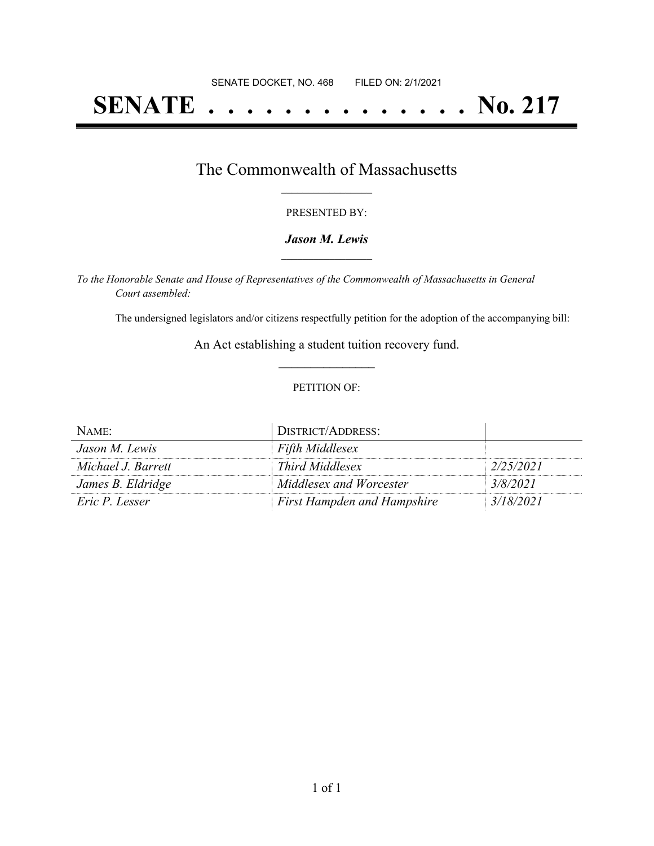# **SENATE . . . . . . . . . . . . . . No. 217**

## The Commonwealth of Massachusetts **\_\_\_\_\_\_\_\_\_\_\_\_\_\_\_\_\_**

#### PRESENTED BY:

#### *Jason M. Lewis* **\_\_\_\_\_\_\_\_\_\_\_\_\_\_\_\_\_**

*To the Honorable Senate and House of Representatives of the Commonwealth of Massachusetts in General Court assembled:*

The undersigned legislators and/or citizens respectfully petition for the adoption of the accompanying bill:

An Act establishing a student tuition recovery fund. **\_\_\_\_\_\_\_\_\_\_\_\_\_\_\_**

#### PETITION OF:

| NAME:              | DISTRICT/ADDRESS:                  |           |
|--------------------|------------------------------------|-----------|
| Jason M. Lewis     | <b>Fifth Middlesex</b>             |           |
| Michael J. Barrett | Third Middlesex                    | 2/25/2021 |
| James B. Eldridge  | Middlesex and Worcester            | 3/8/2021  |
| Eric P. Lesser     | <b>First Hampden and Hampshire</b> | 3/18/2021 |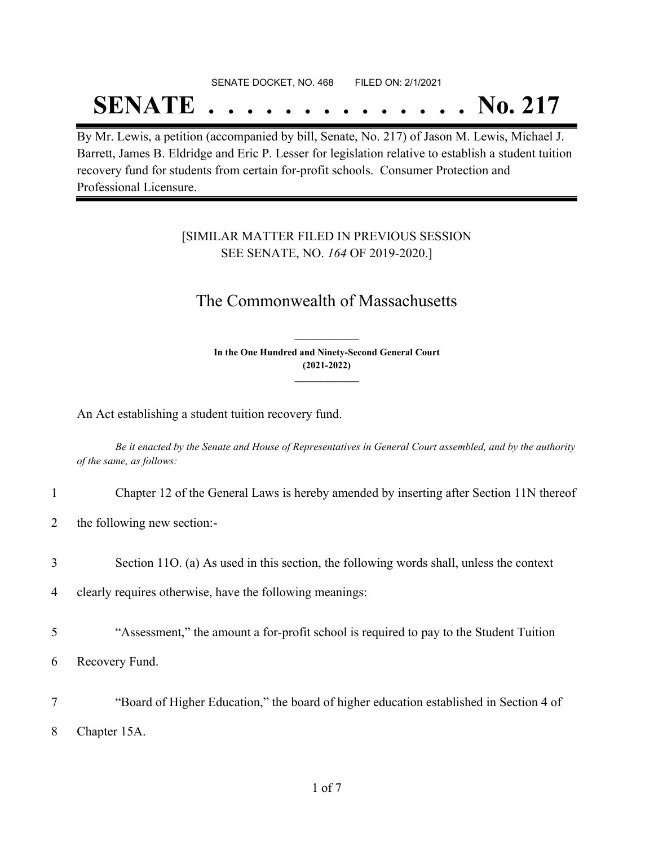## SENATE DOCKET, NO. 468 FILED ON: 2/1/2021

## **SENATE . . . . . . . . . . . . . . No. 217**

By Mr. Lewis, a petition (accompanied by bill, Senate, No. 217) of Jason M. Lewis, Michael J. Barrett, James B. Eldridge and Eric P. Lesser for legislation relative to establish a student tuition recovery fund for students from certain for-profit schools. Consumer Protection and Professional Licensure.

### [SIMILAR MATTER FILED IN PREVIOUS SESSION SEE SENATE, NO. *164* OF 2019-2020.]

## The Commonwealth of Massachusetts

**In the One Hundred and Ninety-Second General Court (2021-2022) \_\_\_\_\_\_\_\_\_\_\_\_\_\_\_**

**\_\_\_\_\_\_\_\_\_\_\_\_\_\_\_**

An Act establishing a student tuition recovery fund.

Be it enacted by the Senate and House of Representatives in General Court assembled, and by the authority *of the same, as follows:*

- 1 Chapter 12 of the General Laws is hereby amended by inserting after Section 11N thereof
- 2 the following new section:-
- 3 Section 11O. (a) As used in this section, the following words shall, unless the context

4 clearly requires otherwise, have the following meanings:

5 "Assessment," the amount a for-profit school is required to pay to the Student Tuition

6 Recovery Fund.

7 "Board of Higher Education," the board of higher education established in Section 4 of 8 Chapter 15A.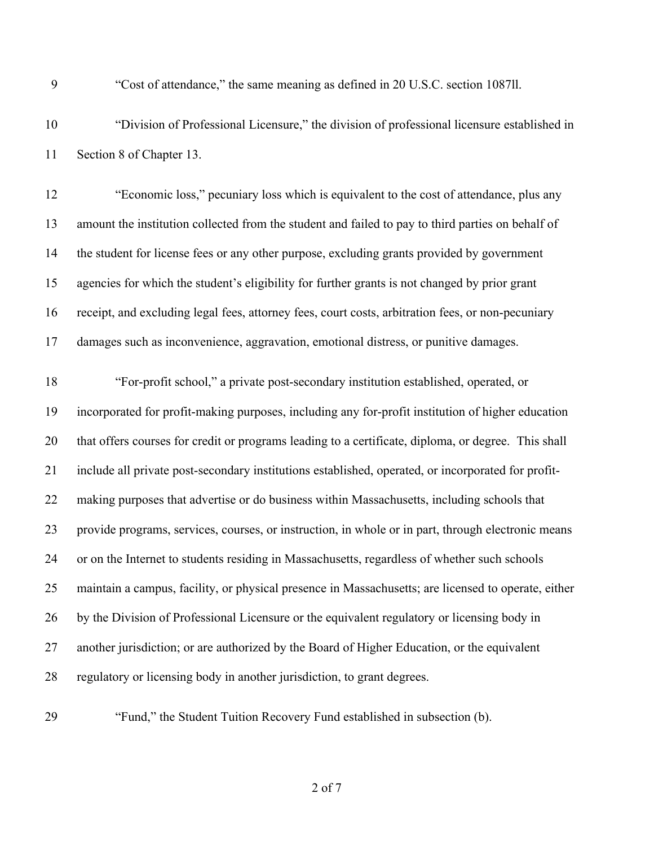"Cost of attendance," the same meaning as defined in 20 U.S.C. section 1087ll.

 "Division of Professional Licensure," the division of professional licensure established in Section 8 of Chapter 13.

 "Economic loss," pecuniary loss which is equivalent to the cost of attendance, plus any amount the institution collected from the student and failed to pay to third parties on behalf of the student for license fees or any other purpose, excluding grants provided by government agencies for which the student's eligibility for further grants is not changed by prior grant receipt, and excluding legal fees, attorney fees, court costs, arbitration fees, or non-pecuniary damages such as inconvenience, aggravation, emotional distress, or punitive damages.

 "For-profit school," a private post-secondary institution established, operated, or incorporated for profit-making purposes, including any for-profit institution of higher education that offers courses for credit or programs leading to a certificate, diploma, or degree. This shall include all private post-secondary institutions established, operated, or incorporated for profit- making purposes that advertise or do business within Massachusetts, including schools that provide programs, services, courses, or instruction, in whole or in part, through electronic means or on the Internet to students residing in Massachusetts, regardless of whether such schools maintain a campus, facility, or physical presence in Massachusetts; are licensed to operate, either by the Division of Professional Licensure or the equivalent regulatory or licensing body in 27 another jurisdiction; or are authorized by the Board of Higher Education, or the equivalent regulatory or licensing body in another jurisdiction, to grant degrees.

"Fund," the Student Tuition Recovery Fund established in subsection (b).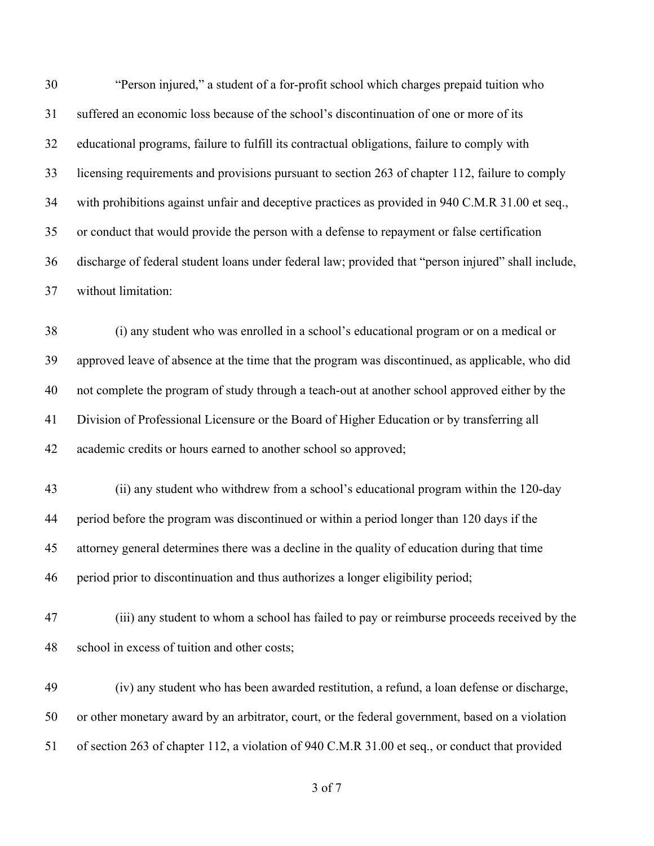"Person injured," a student of a for-profit school which charges prepaid tuition who suffered an economic loss because of the school's discontinuation of one or more of its educational programs, failure to fulfill its contractual obligations, failure to comply with licensing requirements and provisions pursuant to section 263 of chapter 112, failure to comply with prohibitions against unfair and deceptive practices as provided in 940 C.M.R 31.00 et seq., or conduct that would provide the person with a defense to repayment or false certification discharge of federal student loans under federal law; provided that "person injured" shall include, without limitation:

 (i) any student who was enrolled in a school's educational program or on a medical or approved leave of absence at the time that the program was discontinued, as applicable, who did not complete the program of study through a teach-out at another school approved either by the Division of Professional Licensure or the Board of Higher Education or by transferring all academic credits or hours earned to another school so approved;

 (ii) any student who withdrew from a school's educational program within the 120-day period before the program was discontinued or within a period longer than 120 days if the attorney general determines there was a decline in the quality of education during that time period prior to discontinuation and thus authorizes a longer eligibility period;

 (iii) any student to whom a school has failed to pay or reimburse proceeds received by the school in excess of tuition and other costs;

 (iv) any student who has been awarded restitution, a refund, a loan defense or discharge, or other monetary award by an arbitrator, court, or the federal government, based on a violation of section 263 of chapter 112, a violation of 940 C.M.R 31.00 et seq., or conduct that provided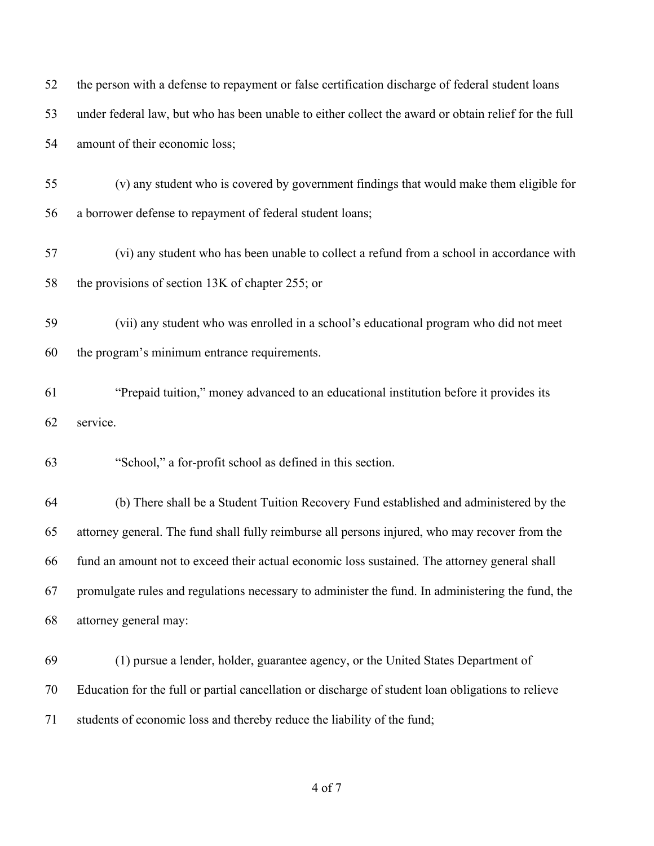| 52 | the person with a defense to repayment or false certification discharge of federal student loans     |
|----|------------------------------------------------------------------------------------------------------|
| 53 | under federal law, but who has been unable to either collect the award or obtain relief for the full |
| 54 | amount of their economic loss;                                                                       |
| 55 | (v) any student who is covered by government findings that would make them eligible for              |
| 56 | a borrower defense to repayment of federal student loans;                                            |
| 57 | (vi) any student who has been unable to collect a refund from a school in accordance with            |
| 58 | the provisions of section 13K of chapter 255; or                                                     |
| 59 | (vii) any student who was enrolled in a school's educational program who did not meet                |
| 60 | the program's minimum entrance requirements.                                                         |
| 61 | "Prepaid tuition," money advanced to an educational institution before it provides its               |
| 62 | service.                                                                                             |
| 63 | "School," a for-profit school as defined in this section.                                            |
| 64 | (b) There shall be a Student Tuition Recovery Fund established and administered by the               |
| 65 | attorney general. The fund shall fully reimburse all persons injured, who may recover from the       |
| 66 | fund an amount not to exceed their actual economic loss sustained. The attorney general shall        |
| 67 | promulgate rules and regulations necessary to administer the fund. In administering the fund, the    |
| 68 | attorney general may:                                                                                |
| 69 | (1) pursue a lender, holder, guarantee agency, or the United States Department of                    |
| 70 | Education for the full or partial cancellation or discharge of student loan obligations to relieve   |
| 71 | students of economic loss and thereby reduce the liability of the fund;                              |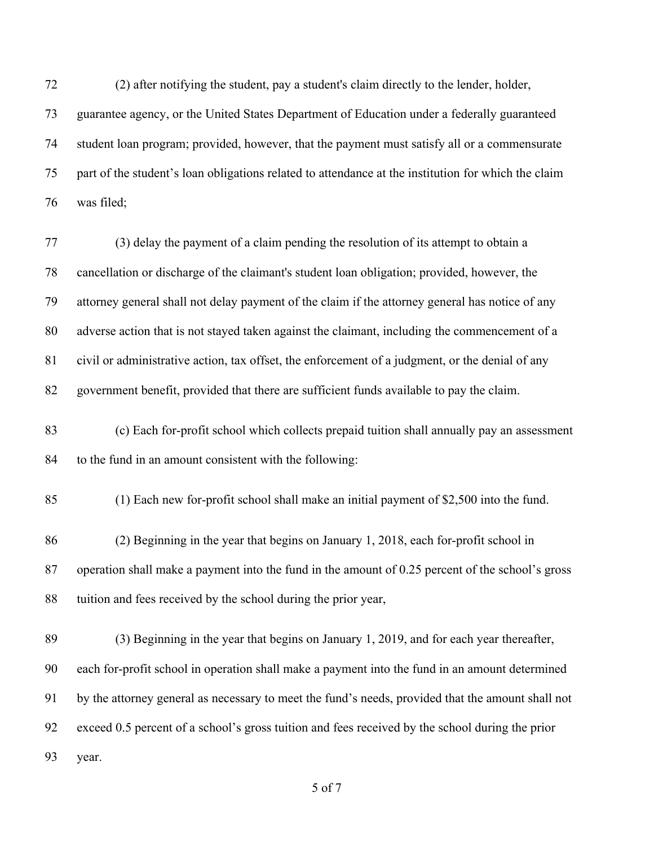(2) after notifying the student, pay a student's claim directly to the lender, holder,

 guarantee agency, or the United States Department of Education under a federally guaranteed student loan program; provided, however, that the payment must satisfy all or a commensurate part of the student's loan obligations related to attendance at the institution for which the claim was filed;

 (3) delay the payment of a claim pending the resolution of its attempt to obtain a cancellation or discharge of the claimant's student loan obligation; provided, however, the attorney general shall not delay payment of the claim if the attorney general has notice of any adverse action that is not stayed taken against the claimant, including the commencement of a civil or administrative action, tax offset, the enforcement of a judgment, or the denial of any government benefit, provided that there are sufficient funds available to pay the claim.

 (c) Each for-profit school which collects prepaid tuition shall annually pay an assessment to the fund in an amount consistent with the following:

(1) Each new for-profit school shall make an initial payment of \$2,500 into the fund.

 (2) Beginning in the year that begins on January 1, 2018, each for-profit school in operation shall make a payment into the fund in the amount of 0.25 percent of the school's gross tuition and fees received by the school during the prior year,

 (3) Beginning in the year that begins on January 1, 2019, and for each year thereafter, each for-profit school in operation shall make a payment into the fund in an amount determined by the attorney general as necessary to meet the fund's needs, provided that the amount shall not exceed 0.5 percent of a school's gross tuition and fees received by the school during the prior year.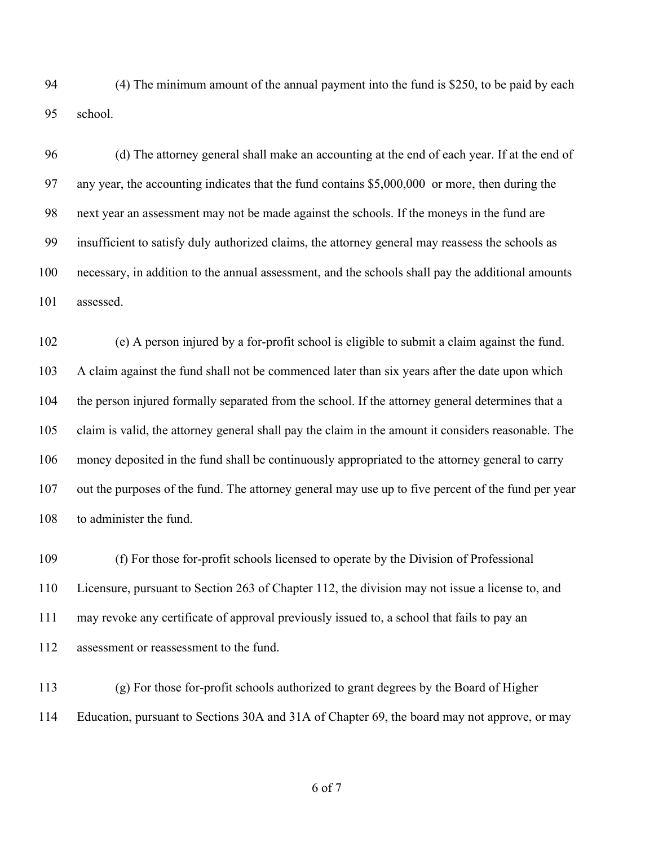(4) The minimum amount of the annual payment into the fund is \$250, to be paid by each school.

 (d) The attorney general shall make an accounting at the end of each year. If at the end of any year, the accounting indicates that the fund contains \$5,000,000 or more, then during the next year an assessment may not be made against the schools. If the moneys in the fund are insufficient to satisfy duly authorized claims, the attorney general may reassess the schools as necessary, in addition to the annual assessment, and the schools shall pay the additional amounts assessed.

 (e) A person injured by a for-profit school is eligible to submit a claim against the fund. A claim against the fund shall not be commenced later than six years after the date upon which the person injured formally separated from the school. If the attorney general determines that a claim is valid, the attorney general shall pay the claim in the amount it considers reasonable. The money deposited in the fund shall be continuously appropriated to the attorney general to carry out the purposes of the fund. The attorney general may use up to five percent of the fund per year to administer the fund.

 (f) For those for-profit schools licensed to operate by the Division of Professional Licensure, pursuant to Section 263 of Chapter 112, the division may not issue a license to, and may revoke any certificate of approval previously issued to, a school that fails to pay an assessment or reassessment to the fund.

 (g) For those for-profit schools authorized to grant degrees by the Board of Higher Education, pursuant to Sections 30A and 31A of Chapter 69, the board may not approve, or may